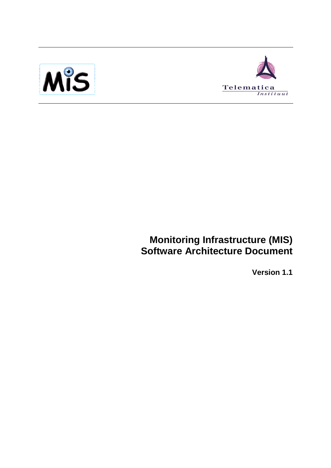



# **Monitoring Infrastructure (MIS) Software Architecture Document**

**Version 1.1**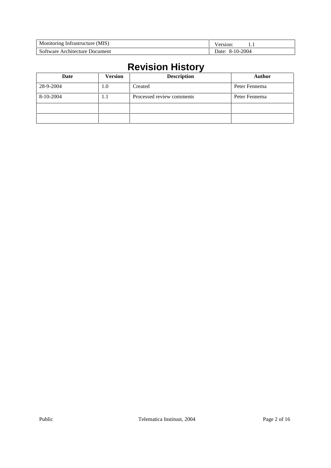| Monitoring Infrastructure (MIS) | ersion:<br>.       |
|---------------------------------|--------------------|
| Software Architecture Document  | 8-10-2004<br>Jate: |

# **Revision History**

| Date      | <b>Version</b> | <b>Description</b>        | <b>Author</b> |
|-----------|----------------|---------------------------|---------------|
| 28-9-2004 | 1.0            | Created                   | Peter Fennema |
| 8-10-2004 | 1.1            | Processed review comments | Peter Fennema |
|           |                |                           |               |
|           |                |                           |               |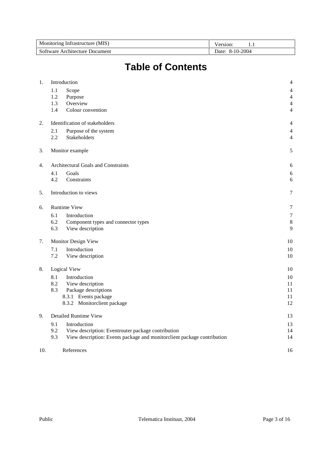| Monitoring Infrastructure (MIS) | ersion.<br>.    |
|---------------------------------|-----------------|
| Software Architecture Document  | Date: 8-10-2004 |

# **Table of Contents**

| 1.  |     | Introduction                                                            | 4                |
|-----|-----|-------------------------------------------------------------------------|------------------|
|     | 1.1 | Scope                                                                   | 4                |
|     | 1.2 | Purpose                                                                 | $\overline{4}$   |
|     | 1.3 | Overview                                                                | $\overline{4}$   |
|     | 1.4 | Colour convention                                                       | $\overline{4}$   |
| 2.  |     | Identification of stakeholders                                          | 4                |
|     | 2.1 | Purpose of the system                                                   | 4                |
|     | 2.2 | <b>Stakeholders</b>                                                     | 4                |
| 3.  |     | Monitor example                                                         | 5                |
| 4.  |     | Architectural Goals and Constraints                                     | 6                |
|     | 4.1 | Goals                                                                   | 6                |
|     | 4.2 | Constraints                                                             | 6                |
| 5.  |     | Introduction to views                                                   | 7                |
| 6.  |     | <b>Runtime View</b>                                                     | 7                |
|     | 6.1 | Introduction                                                            | $\boldsymbol{7}$ |
|     | 6.2 | Component types and connector types                                     | 8                |
|     | 6.3 | View description                                                        | 9                |
| 7.  |     | Monitor Design View                                                     | 10               |
|     | 7.1 | Introduction                                                            | 10               |
|     | 7.2 | View description                                                        | 10               |
| 8.  |     | Logical View                                                            | 10               |
|     | 8.1 | Introduction                                                            | 10               |
|     | 8.2 | View description                                                        | 11               |
|     | 8.3 | Package descriptions                                                    | 11               |
|     |     | 8.3.1 Events package                                                    | 11               |
|     |     | 8.3.2 Monitorclient package                                             | 12               |
| 9.  |     | <b>Detailed Runtime View</b>                                            | 13               |
|     | 9.1 | Introduction                                                            | 13               |
|     | 9.2 | View description: Eventrouter package contribution                      | 14               |
|     | 9.3 | View description: Events package and monitorclient package contribution | 14               |
| 10. |     | References                                                              | 16               |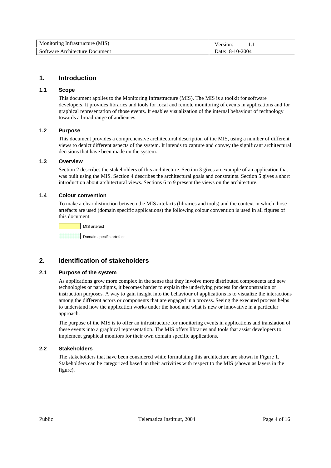| Monitoring Infrastructure (MIS) | √ersion·        |
|---------------------------------|-----------------|
| Software Architecture Document  | Date: 8-10-2004 |

## **1. Introduction**

#### **1.1 Scope**

This document applies to the Monitoring Infrastructure (MIS). The MIS is a toolkit for software developers. It provides libraries and tools for local and remote monitoring of events in applications and for graphical representation of those events. It enables visualization of the internal behaviour of technology towards a broad range of audiences.

## **1.2 Purpose**

This document provides a comprehensive architectural description of the MIS, using a number of different views to depict different aspects of the system. It intends to capture and convey the significant architectural decisions that have been made on the system.

## **1.3 Overview**

Section 2 describes the stakeholders of this architecture. Section 3 gives an example of an application that was built using the MIS. Section 4 describes the architectural goals and constraints. Section 5 gives a short introduction about architectural views. Sections 6 to 9 present the views on the architecture.

#### **1.4 Colour convention**

To make a clear distinction between the MIS artefacts (libraries and tools) and the context in which those artefacts are used (domain specific applications) the following colour convention is used in all figures of this document:



# **2. Identification of stakeholders**

## **2.1 Purpose of the system**

As applications grow more complex in the sense that they involve more distributed components and new technologies or paradigms, it becomes harder to explain the underlying process for demonstration or instruction purposes. A way to gain insight into the behaviour of applications is to visualize the interactions among the different actors or components that are engaged in a process. Seeing the executed process helps to understand how the application works under the hood and what is new or innovative in a particular approach.

The purpose of the MIS is to offer an infrastructure for monitoring events in applications and translation of these events into a graphical representation. The MIS offers libraries and tools that assist developers to implement graphical monitors for their own domain specific applications.

#### **2.2 Stakeholders**

The stakeholders that have been considered while formulating this architecture are shown in Figure 1. Stakeholders can be categorized based on their activities with respect to the MIS (shown as layers in the figure).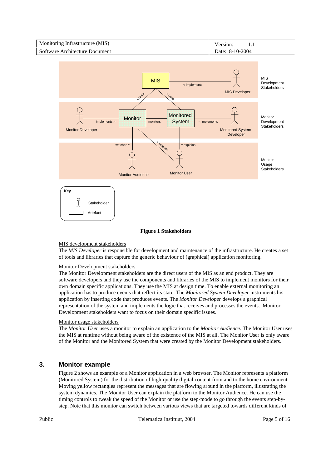

#### **Figure 1 Stakeholders**

#### MIS development stakeholders

The *MIS Developer* is responsible for development and maintenance of the infrastructure. He creates a set of tools and libraries that capture the generic behaviour of (graphical) application monitoring.

#### Monitor Development stakeholders

The Monitor Development stakeholders are the direct users of the MIS as an end product. They are software developers and they use the components and libraries of the MIS to implement monitors for their own domain specific applications. They use the MIS at design time. To enable external monitoring an application has to produce events that reflect its state. The *Monitored System Developer* instruments his application by inserting code that produces events. The *Monitor Developer* develops a graphical representation of the system and implements the logic that receives and processes the events. Monitor Development stakeholders want to focus on their domain specific issues.

#### Monitor usage stakeholders

The *Monitor User* uses a monitor to explain an application to the *Monitor Audience*. The Monitor User uses the MIS at runtime without being aware of the existence of the MIS at all. The Monitor User is only aware of the Monitor and the Monitored System that were created by the Monitor Development stakeholders.

# **3. Monitor example**

Figure 2 shows an example of a Monitor application in a web browser. The Monitor represents a platform (Monitored System) for the distribution of high-quality digital content from and to the home environment. Moving yellow rectangles represent the messages that are flowing around in the platform, illustrating the system dynamics. The Monitor User can explain the platform to the Monitor Audience. He can use the timing controls to tweak the speed of the Monitor or use the step-mode to go through the events step-bystep. Note that this monitor can switch between various views that are targeted towards different kinds of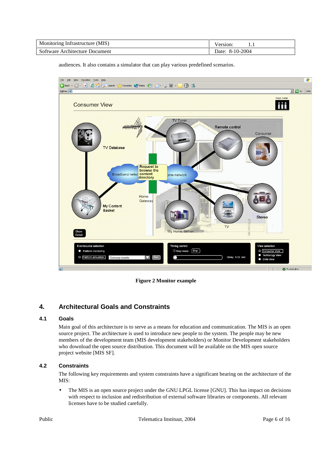| Monitoring Infrastructure (MIS) | .                  |
|---------------------------------|--------------------|
| Software Architecture Document  | 8-10-2004<br>)ate: |

audiences. It also contains a simulator that can play various predefined scenarios.



**Figure 2 Monitor example** 

# **4. Architectural Goals and Constraints**

## **4.1 Goals**

Main goal of this architecture is to serve as a means for education and communication. The MIS is an open source project. The architecture is used to introduce new people to the system. The people may be new members of the development team (MIS development stakeholders) or Monitor Development stakeholders who download the open source distribution. This document will be available on the MIS open source project website [MIS SF].

## **4.2 Constraints**

The following key requirements and system constraints have a significant bearing on the architecture of the MIS:

• The MIS is an open source project under the GNU LPGL license [GNU]. This has impact on decisions with respect to inclusion and redistribution of external software libraries or components. All relevant licenses have to be studied carefully.

Public **Public** CTelematica Instituut, 2004 Page 6 of 16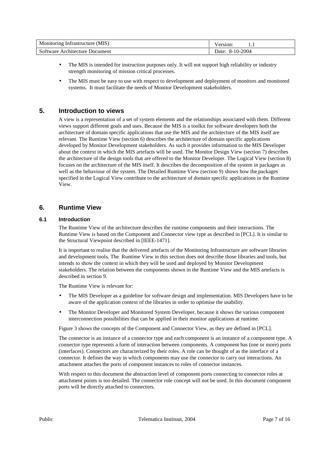| Monitoring Infrastructure (MIS) | ersion<br>. |
|---------------------------------|-------------|
| Software Architecture Document  | 8-10-2004   |

- The MIS is intended for instruction purposes only. It will not support high reliability or industry strength monitoring of mission critical processes.
- The MIS must be easy to use with respect to development and deployment of monitors and monitored systems. It must facilitate the needs of Monitor Development stakeholders.

# **5. Introduction to views**

A view is a representation of a set of system elements and the relationships associated with them. Different views support different goals and uses. Because the MIS is a toolkit for software developers both the architecture of domain specific applications that use the MIS and the architecture of the MIS itself are relevant. The Runtime View (section 6) describes the architecture of domain specific applications developed by Monitor Development stakeholders. As such it provides information to the MIS Developer about the context in which the MIS artefacts will be used. The Monitor Design View (section 7) describes the architecture of the design tools that are offered to the Monitor Developer. The Logical View (section 8) focuses on the architecture of the MIS itself. It describes the decomposition of the system in packages as well as the behaviour of the system. The Detailed Runtime View (section 9) shows how the packages specified in the Logical View contribute to the architecture of domain specific applications in the Runtime View.

## **6. Runtime View**

#### **6.1 Introduction**

The Runtime View of the architecture describes the runtime components and their interactions. The Runtime View is based on the Component and Connector view type as described in [PCL]. It is similar to the Structural Viewpoint described in [IEEE-1471].

It is important to realise that the delivered artefacts of the Monitoring Infrastructure are software libraries and development tools. The Runtime View in this section does not describe those libraries and tools, but intends to show the context in which they will be used and deployed by Monitor Development stakeholders. The relation between the components shown in the Runtime View and the MIS artefacts is described in section 9.

The Runtime View is relevant for:

- The MIS Developer as a guideline for software design and implementation. MIS Developers have to be aware of the application context of the libraries in order to optimise the usability.
- The Monitor Developer and Monitored System Developer, because it shows the various component interconnection possibilities that can be applied in their monitor applications at runtime.

Figure 3 shows the concepts of the Component and Connector View, as they are defined in [PCL].

The connector is an instance of a connector type and each component is an instance of a component type. A connector type represents a form of interaction between components. A component has (one or more) ports (interfaces). Connectors are characterized by their roles. A role can be thought of as the interface of a connector. It defines the way in which components may use the connector to carry out interactions. An attachment attaches the ports of component instances to roles of connector instances.

With respect to this document the abstraction level of component ports connecting to connector roles at attachment points is too detailed. The connector role concept will not be used. In this document component ports will be directly attached to connectors.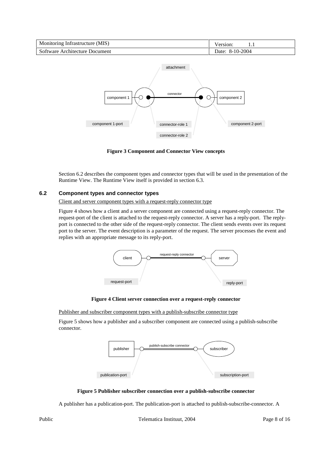| Monitoring Infrastructure (MIS) | ersion <sup>.</sup><br>. |
|---------------------------------|--------------------------|
| Software Architecture Document  | Date: 8-10-2004          |



**Figure 3 Component and Connector View concepts** 

Section 6.2 describes the component types and connector types that will be used in the presentation of the Runtime View. The Runtime View itself is provided in section 6.3.

#### **6.2 Component types and connector types**

Client and server component types with a request-reply connector type

Figure 4 shows how a client and a server component are connected using a request-reply connector. The request-port of the client is attached to the request-reply connector. A server has a reply-port. The replyport is connected to the other side of the request-reply connector. The client sends events over its request port to the server. The event description is a parameter of the request. The server processes the event and replies with an appropriate message to its reply-port.



**Figure 4 Client server connection over a request-reply connector** 

Publisher and subscriber component types with a publish-subscribe connector type

Figure 5 shows how a publisher and a subscriber component are connected using a publish-subscribe connector.



**Figure 5 Publisher subscriber connection over a publish-subscribe connector** 

A publisher has a publication-port. The publication-port is attached to publish-subscribe-connector. A

Public **Public** CTelematica Instituut, 2004 Page 8 of 16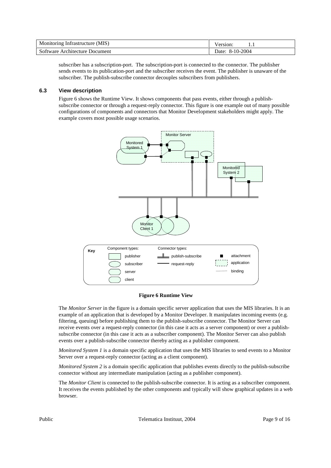| Monitoring Infrastructure (MIS) | ersion             |
|---------------------------------|--------------------|
| Software Architecture Document  | 8-10-2004<br>Date: |

subscriber has a subscription-port. The subscription-port is connected to the connector. The publisher sends events to its publication-port and the subscriber receives the event. The publisher is unaware of the subscriber. The publish-subscribe connector decouples subscribers from publishers.

#### **6.3 View description**

Figure 6 shows the Runtime View. It shows components that pass events, either through a publishsubscribe connector or through a request-reply connector. This figure is one example out of many possible configurations of components and connectors that Monitor Development stakeholders might apply. The example covers most possible usage scenarios.



#### **Figure 6 Runtime View**

The *Monitor Server* in the figure is a domain specific server application that uses the MIS libraries. It is an example of an application that is developed by a Monitor Developer. It manipulates incoming events (e.g. filtering, queuing) before publishing them to the publish-subscribe connector. The Monitor Server can receive events over a request-reply connector (in this case it acts as a server component) or over a publishsubscribe connector (in this case it acts as a subscriber component). The Monitor Server can also publish events over a publish-subscribe connector thereby acting as a publisher component.

*Monitored System 1* is a domain specific application that uses the MIS libraries to send events to a Monitor Server over a request-reply connector (acting as a client component).

*Monitored System 2* is a domain specific application that publishes events directly to the publish-subscribe connector without any intermediate manipulation (acting as a publisher component).

The *Monitor Client* is connected to the publish-subscribe connector. It is acting as a subscriber component. It receives the events published by the other components and typically will show graphical updates in a web browser.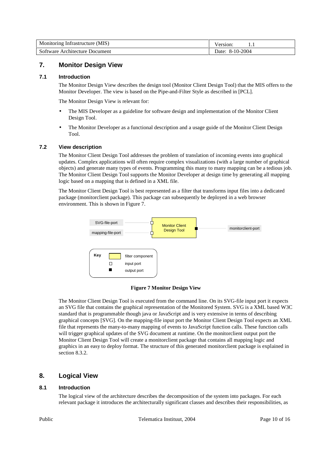| Monitoring Infrastructure (MIS) | $\sqrt{e}$ rsion |
|---------------------------------|------------------|
| Software Architecture Document  | Date: 8-10-2004  |

# **7. Monitor Design View**

#### **7.1 Introduction**

The Monitor Design View describes the design tool (Monitor Client Design Tool) that the MIS offers to the Monitor Developer. The view is based on the Pipe-and-Filter Style as described in [PCL].

The Monitor Design View is relevant for:

- The MIS Developer as a guideline for software design and implementation of the Monitor Client Design Tool.
- The Monitor Developer as a functional description and a usage guide of the Monitor Client Design Tool.

#### **7.2 View description**

The Monitor Client Design Tool addresses the problem of translation of incoming events into graphical updates. Complex applications will often require complex visualizations (with a large number of graphical objects) and generate many types of events. Programming this many to many mapping can be a tedious job. The Monitor Client Design Tool supports the Monitor Developer at design time by generating all mapping logic based on a mapping that is defined in a XML file.

The Monitor Client Design Tool is best represented as a filter that transforms input files into a dedicated package (monitorclient package). This package can subsequently be deployed in a web browser environment. This is shown in Figure 7.



#### **Figure 7 Monitor Design View**

The Monitor Client Design Tool is executed from the command line. On its SVG-file input port it expects an SVG file that contains the graphical representation of the Monitored System. SVG is a XML based W3C standard that is programmable though java or JavaScript and is very extensive in terms of describing graphical concepts [SVG]. On the mapping-file input port the Monitor Client Design Tool expects an XML file that represents the many-to-many mapping of events to JavaScript function calls. These function calls will trigger graphical updates of the SVG document at runtime. On the monitorclient output port the Monitor Client Design Tool will create a monitorclient package that contains all mapping logic and graphics in an easy to deploy format. The structure of this generated monitorclient package is explained in section 8.3.2.

## **8. Logical View**

#### **8.1 Introduction**

The logical view of the architecture describes the decomposition of the system into packages. For each relevant package it introduces the architecturally significant classes and describes their responsibilities, as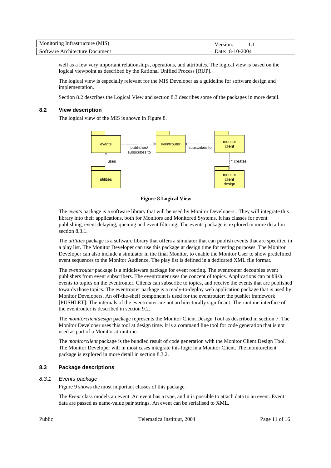| Monitoring Infrastructure (MIS) |                    |
|---------------------------------|--------------------|
| Software Architecture Document  | 8-10-2004<br>Date: |

well as a few very important relationships, operations, and attributes. The logical view is based on the logical viewpoint as described by the Rational Unified Process [RUP].

The logical view is especially relevant for the MIS Developer as a guideline for software design and implementation.

Section 8.2 describes the Logical View and section 8.3 describes some of the packages in more detail.

#### **8.2 View description**

The logical view of the MIS is shown in Figure 8.



**Figure 8 Logical View** 

The *events* package is a software library that will be used by Monitor Developers. They will integrate this library into their applications, both for Monitors and Monitored Systems. It has classes for event publishing, event delaying, queuing and event filtering. The events package is explored in more detail in section 8.3.1.

The *utilities* package is a software library that offers a simulator that can publish events that are specified in a play list. The Monitor Developer can use this package at design time for testing purposes. The Monitor Developer can also include a simulator in the final Monitor, to enable the Monitor User to show predefined event sequences to the Monitor Audience. The play list is defined in a dedicated XML file format.

The *eventrouter* package is a middleware package for event routing. The eventrouter decouples event publishers from event subscribers. The eventrouter uses the concept of topics. Applications can publish events to topics on the eventrouter. Clients can subscribe to topics, and receive the events that are published towards those topics. The eventrouter package is a ready-to-deploy web application package that is used by Monitor Developers. An off-the-shelf component is used for the eventrouter: the pushlet framework [PUSHLET]. The internals of the eventrouter are not architecturally significant. The runtime interface of the eventrouter is described in section 9.2.

The *monitorclientdesign* package represents the Monitor Client Design Tool as described in section 7. The Monitor Developer uses this tool at design time. It is a command line tool for code generation that is not used as part of a Monitor at runtime.

The *monitorclient* package is the bundled result of code generation with the Monitor Client Design Tool. The Monitor Developer will in most cases integrate this logic in a Monitor Client. The monitorclient package is explored in more detail in section 8.3.2.

#### **8.3 Package descriptions**

#### 8.3.1 Events package

Figure 9 shows the most important classes of this package.

The *Event* class models an event. An event has a type, and it is possible to attach data to an event. Event data are passed as name-value pair strings. An event can be serialised to XML.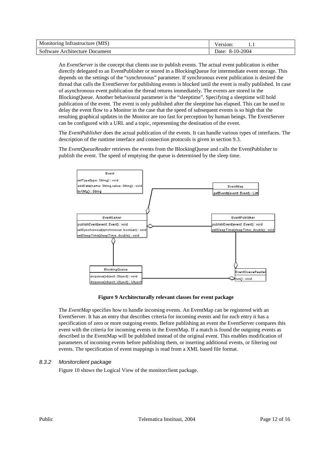| Monitoring Infrastructure (MIS) | ersion          |
|---------------------------------|-----------------|
| Software Architecture Document  | Date: 8-10-2004 |

An *EventServer* is the concept that clients use to publish events. The actual event publication is either directly delegated to an EventPublisher or stored in a BlockingQueue for intermediate event storage. This depends on the settings of the "synchronous" parameter. If synchronous event publication is desired the thread that calls the EventServer for publishing events is blocked until the event is really published. In case of asynchronous event publication the thread returns immediately. The events are stored in the BlockingQueue. Another behavioural parameter is the "sleeptime". Specifying a sleeptime will hold publication of the event. The event is only published after the sleeptime has elapsed. This can be used to delay the event flow to a Monitor in the case that the speed of subsequent events is so high that the resulting graphical updates in the Monitor are too fast for perception by human beings. The EventServer can be configured with a URL and a topic, representing the destination of the event.

The *EventPublisher* does the actual publication of the events. It can handle various types of interfaces. The description of the runtime interface and connection protocols is given in section 9.3.

The *EventQueueReader* retrieves the events from the BlockingQueue and calls the EventPublisher to publish the event. The speed of emptying the queue is determined by the sleep time.



#### **Figure 9 Architecturally relevant classes for event package**

The *EventMap* specifies how to handle incoming events. An EventMap can be registered with an EventServer. It has an entry that describes criteria for incoming events and for each entry it has a specification of zero or more outgoing events. Before publishing an event the EventServer compares this event with the criteria for incoming events in the EventMap. If a match is found the outgoing events as described in the EventMap will be published instead of the original event. This enables modification of parameters of incoming events before publishing them, or inserting additional events, or filtering out events. The specification of event mappings is read from a XML based file format.

#### 8.3.2 Monitorclient package

Figure 10 shows the Logical View of the monitorclient package.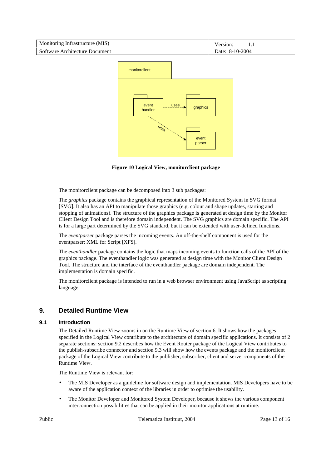| Monitoring Infrastructure (MIS) | √ersion:        |
|---------------------------------|-----------------|
| Software Architecture Document  | Date: 8-10-2004 |



**Figure 10 Logical View, monitorclient package** 

The monitorclient package can be decomposed into 3 sub packages:

The *graphics* package contains the graphical representation of the Monitored System in SVG format [SVG]. It also has an API to manipulate those graphics (e.g. colour and shape updates, starting and stopping of animations). The structure of the graphics package is generated at design time by the Monitor Client Design Tool and is therefore domain independent. The SVG graphics are domain specific. The API is for a large part determined by the SVG standard, but it can be extended with user-defined functions.

The *eventparser* package parses the incoming events. An off-the-shelf component is used for the eventparser: XML for Script [XFS].

The *eventhandler* package contains the logic that maps incoming events to function calls of the API of the graphics package. The eventhandler logic was generated at design time with the Monitor Client Design Tool. The structure and the interface of the eventhandler package are domain independent. The implementation is domain specific.

The monitorclient package is intended to run in a web browser environment using JavaScript as scripting language.

# **9. Detailed Runtime View**

#### **9.1 Introduction**

The Detailed Runtime View zooms in on the Runtime View of section 6. It shows how the packages specified in the Logical View contribute to the architecture of domain specific applications. It consists of 2 separate sections: section 9.2 describes how the Event Router package of the Logical View contributes to the publish-subscribe connector and section 9.3 will show how the events package and the monitorclient package of the Logical View contribute to the publisher, subscriber, client and server components of the Runtime View.

The Runtime View is relevant for:

- The MIS Developer as a guideline for software design and implementation. MIS Developers have to be aware of the application context of the libraries in order to optimise the usability.
- The Monitor Developer and Monitored System Developer, because it shows the various component interconnection possibilities that can be applied in their monitor applications at runtime.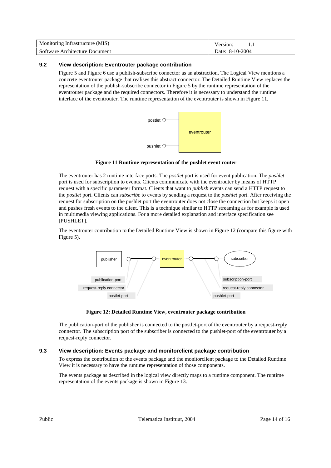| Monitoring Infrastructure (MIS) | ersion             |
|---------------------------------|--------------------|
| Software Architecture Document  | 8-10-2004<br>Jate: |

## **9.2 View description: Eventrouter package contribution**

Figure 5 and Figure 6 use a publish-subscribe connector as an abstraction. The Logical View mentions a concrete eventrouter package that realises this abstract connector. The Detailed Runtime View replaces the representation of the publish-subscribe connector in Figure 5 by the runtime representation of the eventrouter package and the required connectors. Therefore it is necessary to understand the runtime interface of the eventrouter. The runtime representation of the eventrouter is shown in Figure 11.



#### **Figure 11 Runtime representation of the pushlet event router**

The eventrouter has 2 runtime interface ports. The *postlet* port is used for event publication. The *pushlet* port is used for subscription to events. Clients communicate with the eventrouter by means of HTTP request with a specific parameter format. Clients that want to *publish* events can send a HTTP request to the *postlet* port. Clients can *subscribe* to events by sending a request to the *pushlet* port. After receiving the request for subscription on the pushlet port the eventrouter does not close the connection but keeps it open and pushes fresh events to the client. This is a technique similar to HTTP streaming as for example is used in multimedia viewing applications. For a more detailed explanation and interface specification see [PUSHLET].

The eventrouter contribution to the Detailed Runtime View is shown in Figure 12 (compare this figure with Figure 5).



#### **Figure 12: Detailed Runtime View, eventrouter package contribution**

The publication-port of the publisher is connected to the postlet-port of the eventrouter by a request-reply connector. The subscription port of the subscriber is connected to the pushlet-port of the eventrouter by a request-reply connector.

#### **9.3 View description: Events package and monitorclient package contribution**

To express the contribution of the events package and the monitorclient package to the Detailed Runtime View it is necessary to have the runtime representation of those components.

The events package as described in the logical view directly maps to a runtime component. The runtime representation of the events package is shown in Figure 13.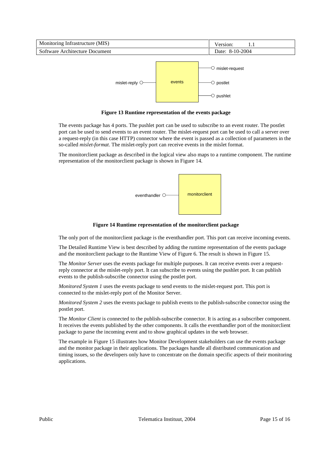| Monitoring Infrastructure (MIS)  |        | Version:<br>1.1                                                                                  |
|----------------------------------|--------|--------------------------------------------------------------------------------------------------|
| Software Architecture Document   |        | Date: 8-10-2004                                                                                  |
| mislet-reply $\circlearrowright$ | events | $\circlearrowright$ mislet-request<br>$\circlearrowright$ postlet<br>$\circlearrowright$ pushlet |

**Figure 13 Runtime representation of the events package** 

The events package has 4 ports. The pushlet port can be used to subscribe to an event router. The postlet port can be used to send events to an event router. The mislet-request port can be used to call a server over a request-reply (in this case HTTP) connector where the event is passed as a collection of parameters in the so-called *mislet-format*. The mislet-reply port can receive events in the mislet format.

The monitorclient package as described in the logical view also maps to a runtime component. The runtime representation of the monitorclient package is shown in Figure 14.



**Figure 14 Runtime representation of the monitorclient package** 

The only port of the monitorclient package is the eventhandler port. This port can receive incoming events.

The Detailed Runtime View is best described by adding the runtime representation of the events package and the monitorclient package to the Runtime View of Figure 6. The result is shown in Figure 15.

The *Monitor Server* uses the events package for multiple purposes. It can receive events over a requestreply connector at the mislet-reply port. It can subscribe to events using the pushlet port. It can publish events to the publish-subscribe connector using the postlet port.

*Monitored System 1* uses the events package to send events to the mislet-request port. This port is connected to the mislet-reply port of the Monitor Server.

*Monitored System 2* uses the events package to publish events to the publish-subscribe connector using the postlet port.

The *Monitor Client* is connected to the publish-subscribe connector. It is acting as a subscriber component. It receives the events published by the other components. It calls the eventhandler port of the monitorclient package to parse the incoming event and to show graphical updates in the web browser.

The example in Figure 15 illustrates how Monitor Development stakeholders can use the events package and the monitor package in their applications. The packages handle all distributed communication and timing issues, so the developers only have to concentrate on the domain specific aspects of their monitoring applications.